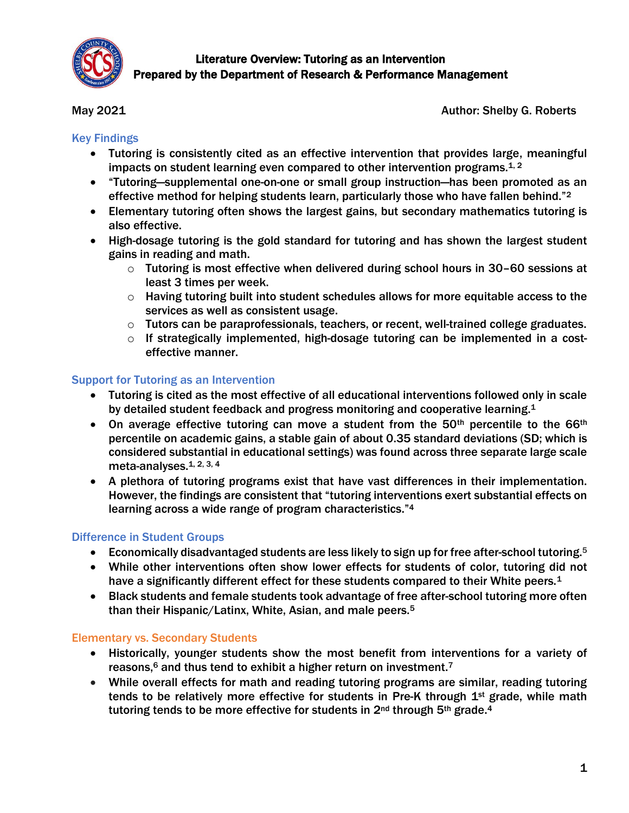

May 2021 **Author: Shelby G. Roberts** 

## Key Findings

- Tutoring is consistently cited as an effective intervention that provides large, meaningful impacts on student learning even compared to other intervention programs. $1, 2$
- "Tutoring—supplemental one-on-one or small group instruction—has been promoted as an effective method for helping students learn, particularly those who have fallen behind."<sup>2</sup>
- Elementary tutoring often shows the largest gains, but secondary mathematics tutoring is also effective.
- High-dosage tutoring is the gold standard for tutoring and has shown the largest student gains in reading and math.
	- $\circ$  Tutoring is most effective when delivered during school hours in 30–60 sessions at least 3 times per week.
	- $\circ$  Having tutoring built into student schedules allows for more equitable access to the services as well as consistent usage.
	- $\circ$  Tutors can be paraprofessionals, teachers, or recent, well-trained college graduates.
	- $\circ$  If strategically implemented, high-dosage tutoring can be implemented in a costeffective manner.

## Support for Tutoring as an Intervention

- Tutoring is cited as the most effective of all educational interventions followed only in scale by detailed student feedback and progress monitoring and cooperative learning.<sup>1</sup>
- $\bullet$  On average effective tutoring can move a student from the 50<sup>th</sup> percentile to the 66<sup>th</sup> percentile on academic gains, a stable gain of about 0.35 standard deviations (SD; which is considered substantial in educational settings) was found across three separate large scale meta-analyses. 1, 2, 3, 4
- A plethora of tutoring programs exist that have vast differences in their implementation. However, the findings are consistent that "tutoring interventions exert substantial effects on learning across a wide range of program characteristics."<sup>4</sup>

# Difference in Student Groups

- Economically disadvantaged students are less likely to sign up for free after-school tutoring.<sup>5</sup>
- While other interventions often show lower effects for students of color, tutoring did not have a significantly different effect for these students compared to their White peers.<sup>1</sup>
- Black students and female students took advantage of free after-school tutoring more often than their Hispanic/Latinx, White, Asian, and male peers.<sup>5</sup>

# Elementary vs. Secondary Students

- Historically, younger students show the most benefit from interventions for a variety of reasons,<sup>6</sup> and thus tend to exhibit a higher return on investment.<sup>7</sup>
- While overall effects for math and reading tutoring programs are similar, reading tutoring tends to be relatively more effective for students in Pre-K through 1<sup>st</sup> grade, while math tutoring tends to be more effective for students in 2<sup>nd</sup> through 5<sup>th</sup> grade.<sup>4</sup>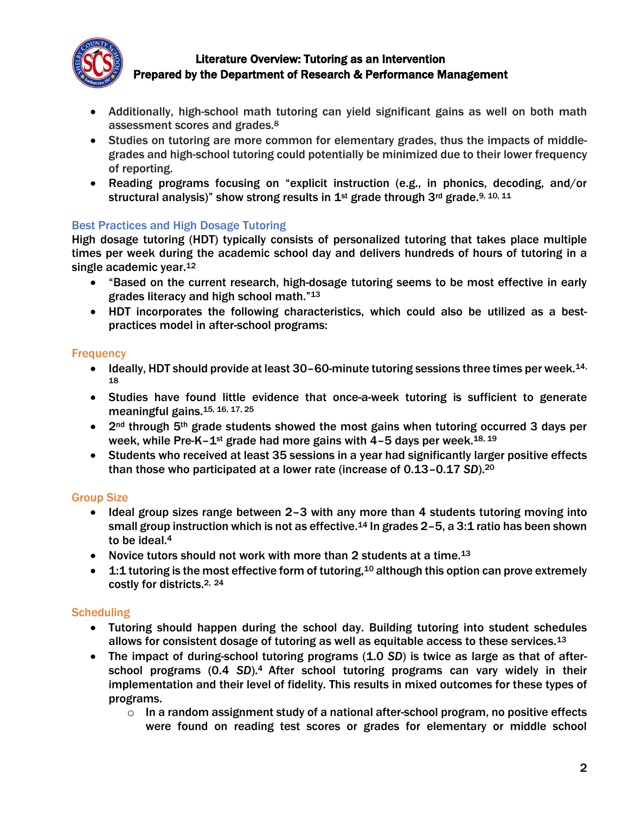

- Additionally, high-school math tutoring can yield significant gains as well on both math assessment scores and grades.<sup>8</sup>
- Studies on tutoring are more common for elementary grades, thus the impacts of middlegrades and high-school tutoring could potentially be minimized due to their lower frequency of reporting.
- Reading programs focusing on "explicit instruction (e.g., in phonics, decoding, and/or structural analysis)" show strong results in  $1^{st}$  grade through 3<sup>rd</sup> grade.<sup>9, 10, 11</sup>

#### Best Practices and High Dosage Tutoring

High dosage tutoring (HDT) typically consists of personalized tutoring that takes place multiple times per week during the academic school day and delivers hundreds of hours of tutoring in a single academic year.<sup>12</sup>

- "Based on the current research, high-dosage tutoring seems to be most effective in early grades literacy and high school math."<sup>13</sup>
- HDT incorporates the following characteristics, which could also be utilized as a bestpractices model in after-school programs:

#### **Frequency**

- $\bullet$  Ideally, HDT should provide at least 30–60-minute tutoring sessions three times per week.<sup>14,</sup> 18
- Studies have found little evidence that once-a-week tutoring is sufficient to generate meaningful gains.15, 16, 17, 25
- $\bullet$  2<sup>nd</sup> through 5<sup>th</sup> grade students showed the most gains when tutoring occurred 3 days per week, while Pre-K-1<sup>st</sup> grade had more gains with 4-5 days per week.<sup>18, 19</sup>
- Students who received at least 35 sessions in a year had significantly larger positive effects than those who participated at a lower rate (increase of 0.13–0.17 *SD*). 20

## Group Size

- Ideal group sizes range between 2-3 with any more than 4 students tutoring moving into small group instruction which is not as effective.<sup>14</sup> In grades  $2-5$ , a 3:1 ratio has been shown to be ideal.<sup>4</sup>
- Novice tutors should not work with more than 2 students at a time.<sup>13</sup>
- $-1:1$  tutoring is the most effective form of tutoring, <sup>10</sup> although this option can prove extremely costly for districts.2, <sup>24</sup>

## **Scheduling**

- Tutoring should happen during the school day. Building tutoring into student schedules allows for consistent dosage of tutoring as well as equitable access to these services.<sup>13</sup>
- The impact of during-school tutoring programs (1.0 *SD*) is twice as large as that of afterschool programs (0.4 *SD*).4 After school tutoring programs can vary widely in their implementation and their level of fidelity. This results in mixed outcomes for these types of programs.
	- $\circ$  In a random assignment study of a national after-school program, no positive effects were found on reading test scores or grades for elementary or middle school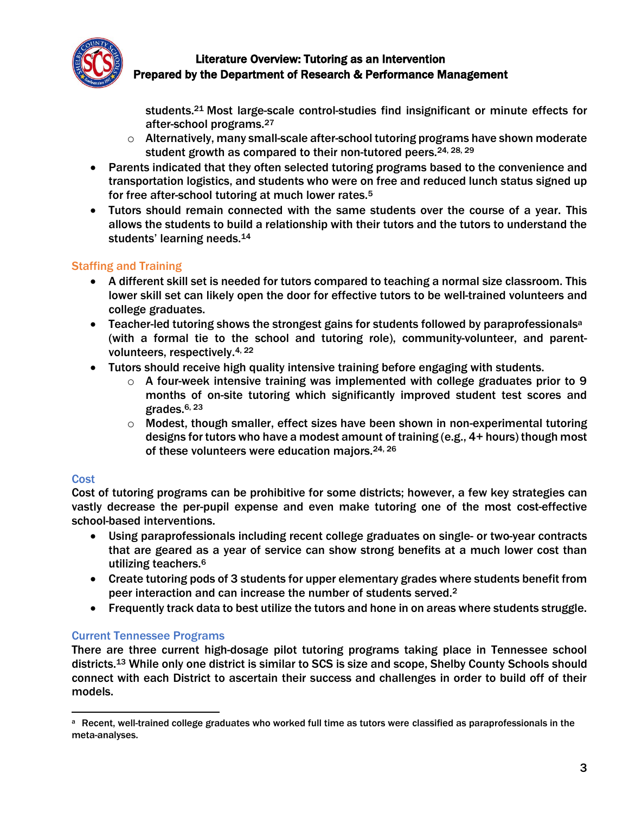

students.<sup>21</sup> Most large-scale control-studies find insignificant or minute effects for after-school programs.<sup>27</sup>

- $\circ$  Alternatively, many small-scale after-school tutoring programs have shown moderate student growth as compared to their non-tutored peers.<sup>24, 28, 29</sup>
- Parents indicated that they often selected tutoring programs based to the convenience and transportation logistics, and students who were on free and reduced lunch status signed up for free after-school tutoring at much lower rates.<sup>5</sup>
- Tutors should remain connected with the same students over the course of a year. This allows the students to build a relationship with their tutors and the tutors to understand the students' learning needs.<sup>14</sup>

# Staffing and Training

- A different skill set is needed for tutors compared to teaching a normal size classroom. This lower skill set can likely open the door for effective tutors to be well-trained volunteers and college graduates.
- Teacher-led tutoring shows the strongest gains for students followed by paraprofessionals<sup>a</sup> (with a formal tie to the school and tutoring role), community-volunteer, and parentvolunteers, respectively.4, <sup>22</sup>
- Tutors should receive high quality intensive training before engaging with students.
	- $\circ$  A four-week intensive training was implemented with college graduates prior to 9 months of on-site tutoring which significantly improved student test scores and grades.<sup>6, 23</sup>
	- o Modest, though smaller, effect sizes have been shown in non-experimental tutoring designs for tutors who have a modest amount of training (e.g., 4+ hours) though most of these volunteers were education majors.<sup>24, 26</sup>

## **Cost**

Cost of tutoring programs can be prohibitive for some districts; however, a few key strategies can vastly decrease the per-pupil expense and even make tutoring one of the most cost-effective school-based interventions.

- Using paraprofessionals including recent college graduates on single- or two-year contracts that are geared as a year of service can show strong benefits at a much lower cost than utilizing teachers. 6
- Create tutoring pods of 3 students for upper elementary grades where students benefit from peer interaction and can increase the number of students served.<sup>2</sup>
- Frequently track data to best utilize the tutors and hone in on areas where students struggle.

# Current Tennessee Programs

There are three current high-dosage pilot tutoring programs taking place in Tennessee school districts.<sup>13</sup> While only one district is similar to SCS is size and scope, Shelby County Schools should connect with each District to ascertain their success and challenges in order to build off of their models.

 $\overline{a}$ a Recent, well-trained college graduates who worked full time as tutors were classified as paraprofessionals in the meta-analyses.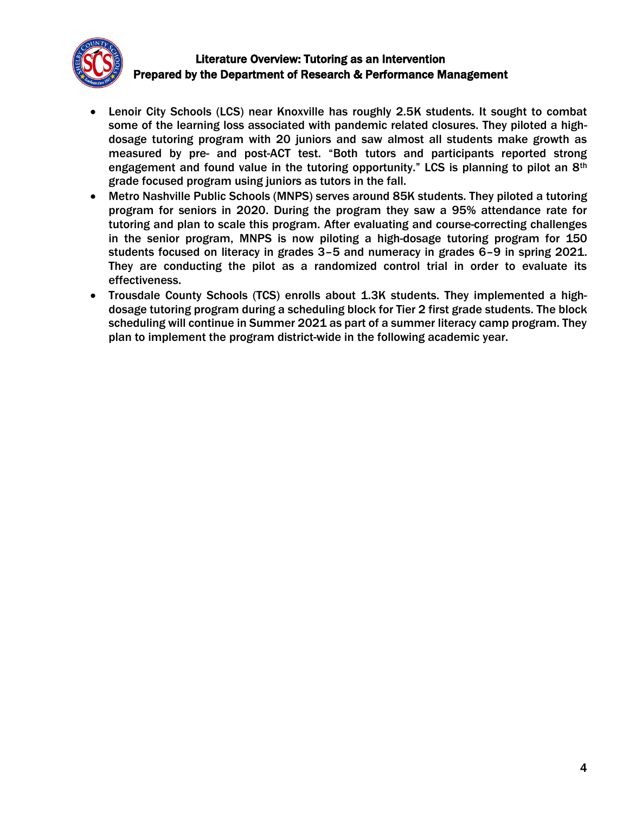

- Lenoir City Schools (LCS) near Knoxville has roughly 2.5K students. It sought to combat some of the learning loss associated with pandemic related closures. They piloted a highdosage tutoring program with 20 juniors and saw almost all students make growth as measured by pre- and post-ACT test. "Both tutors and participants reported strong engagement and found value in the tutoring opportunity." LCS is planning to pilot an 8<sup>th</sup> grade focused program using juniors as tutors in the fall.
- Metro Nashville Public Schools (MNPS) serves around 85K students. They piloted a tutoring program for seniors in 2020. During the program they saw a 95% attendance rate for tutoring and plan to scale this program. After evaluating and course-correcting challenges in the senior program, MNPS is now piloting a high-dosage tutoring program for 150 students focused on literacy in grades 3–5 and numeracy in grades 6–9 in spring 2021. They are conducting the pilot as a randomized control trial in order to evaluate its effectiveness.
- Trousdale County Schools (TCS) enrolls about 1.3K students. They implemented a highdosage tutoring program during a scheduling block for Tier 2 first grade students. The block scheduling will continue in Summer 2021 as part of a summer literacy camp program. They plan to implement the program district-wide in the following academic year.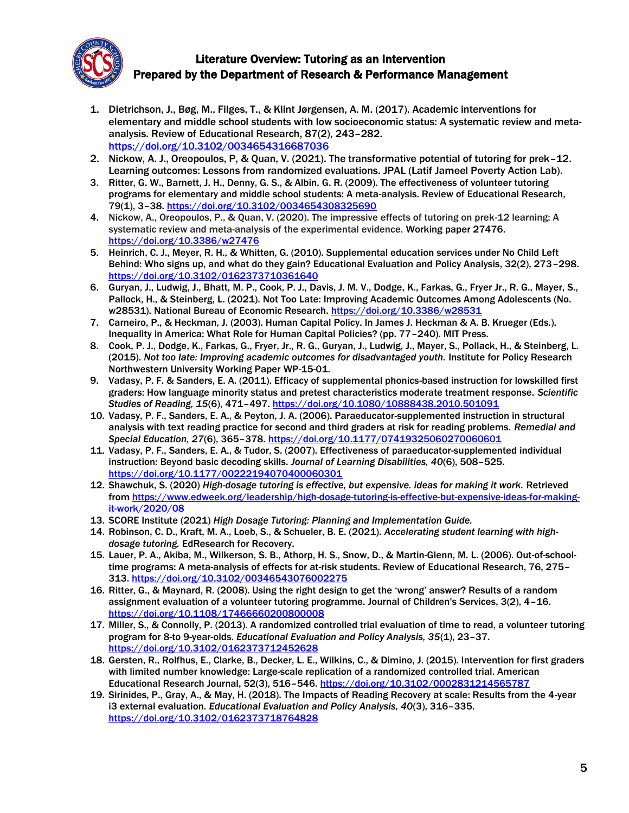

- 1. Dietrichson, J., Bøg, M., Filges, T., & Klint Jørgensen, A. M. (2017). Academic interventions for elementary and middle school students with low socioeconomic status: A systematic review and metaanalysis. Review of Educational Research, 87(2), 243–282. <https://doi.org/10.3102/0034654316687036>
- 2. Nickow, A. J., Oreopoulos, P, & Quan, V. (2021). The transformative potential of tutoring for prek–12. Learning outcomes: Lessons from randomized evaluations. JPAL (Latif Jameel Poverty Action Lab).
- 3. Ritter, G. W., Barnett, J. H., Denny, G. S., & Albin, G. R. (2009). The effectiveness of volunteer tutoring programs for elementary and middle school students: A meta-analysis. Review of Educational Research, 79(1), 3–38[. https://doi.org/10.3102/0034654308325690](https://doi.org/10.3102/0034654308325690)
- 4. Nickow, A., Oreopoulos, P., & Quan, V. (2020). The impressive effects of tutoring on prek-12 learning: A systematic review and meta-analysis of the experimental evidence. Working paper 27476. <https://doi.org/10.3386/w27476>
- 5. Heinrich, C. J., Meyer, R. H., & Whitten, G. (2010). Supplemental education services under No Child Left Behind: Who signs up, and what do they gain? Educational Evaluation and Policy Analysis, 32(2), 273–298. <https://doi.org/10.3102/0162373710361640>
- 6. Guryan, J., Ludwig, J., Bhatt, M. P., Cook, P. J., Davis, J. M. V., Dodge, K., Farkas, G., Fryer Jr., R. G., Mayer, S., Pallock, H., & Steinberg, L. (2021). Not Too Late: Improving Academic Outcomes Among Adolescents (No. w28531). National Bureau of Economic Research. <https://doi.org/10.3386/w28531>
- 7. Carneiro, P., & Heckman, J. (2003). Human Capital Policy. In James J. Heckman & A. B. Krueger (Eds.), Inequality in America: What Role for Human Capital Policies? (pp. 77–240). MIT Press.
- 8. Cook, P. J., Dodge, K., Farkas, G., Fryer, Jr., R. G., Guryan, J., Ludwig, J., Mayer, S., Pollack, H., & Steinberg, L. (2015). *Not too late: Improving academic outcomes for disadvantaged youth.* Institute for Policy Research Northwestern University Working Paper WP-15-01.
- 9. Vadasy, P. F. & Sanders, E. A. (2011). Efficacy of supplemental phonics-based instruction for lowskilled first graders: How language minority status and pretest characteristics moderate treatment response. *Scientific Studies of Reading, 15*(6), 471–497.<https://doi.org/10.1080/10888438.2010.501091>
- 10. Vadasy, P. F., Sanders, E. A., & Peyton, J. A. (2006). Paraeducator-supplemented instruction in structural analysis with text reading practice for second and third graders at risk for reading problems. *Remedial and Special Education, 27*(6), 365–378.<https://doi.org/10.1177/07419325060270060601>
- 11. Vadasy, P. F., Sanders, E. A., & Tudor, S. (2007). Effectiveness of paraeducator-supplemented individual instruction: Beyond basic decoding skills. *Journal of Learning Disabilities, 40*(6), 508–525. <https://doi.org/10.1177/00222194070400060301>
- 12. Shawchuk, S. (2020) *High-dosage tutoring is effective, but expensive. ideas for making it work.* Retrieved from [https://www.edweek.org/leadership/high-dosage-tutoring-is-effective-but-expensive-ideas-for-making](https://www.edweek.org/leadership/high-dosage-tutoring-is-effective-but-expensive-ideas-for-making-it-work/2020/08)[it-work/2020/08](https://www.edweek.org/leadership/high-dosage-tutoring-is-effective-but-expensive-ideas-for-making-it-work/2020/08)
- 13. SCORE Institute (2021) *High Dosage Tutoring: Planning and Implementation Guide.*
- 14. Robinson, C. D., Kraft, M. A., Loeb, S., & Schueler, B. E. (2021). *Accelerating student learning with highdosage tutoring.* EdResearch for Recovery.
- 15. Lauer, P. A., Akiba, M., Wilkerson, S. B., Athorp, H. S., Snow, D., & Martin-Glenn, M. L. (2006). Out-of-schooltime programs: A meta-analysis of effects for at-risk students. Review of Educational Research, 76, 275– 313.<https://doi.org/10.3102/00346543076002275>
- 16. Ritter, G., & Maynard, R. (2008). Using the right design to get the 'wrong' answer? Results of a random assignment evaluation of a volunteer tutoring programme. Journal of Children's Services, 3(2), 4–16. <https://doi.org/10.1108/17466660200800008>
- 17. Miller, S., & Connolly, P. (2013). A randomized controlled trial evaluation of time to read, a volunteer tutoring program for 8-to 9-year-olds. *Educational Evaluation and Policy Analysis, 35*(1), 23–37. <https://doi.org/10.3102/0162373712452628>
- 18. Gersten, R., Rolfhus, E., Clarke, B., Decker, L. E., Wilkins, C., & Dimino, J. (2015). Intervention for first graders with limited number knowledge: Large-scale replication of a randomized controlled trial. American Educational Research Journal, 52(3), 516–546.<https://doi.org/10.3102/0002831214565787>
- 19. Sirinides, P., Gray, A., & May, H. (2018). The Impacts of Reading Recovery at scale: Results from the 4-year i3 external evaluation. *Educational Evaluation and Policy Analysis, 40*(3), 316–335. <https://doi.org/10.3102/0162373718764828>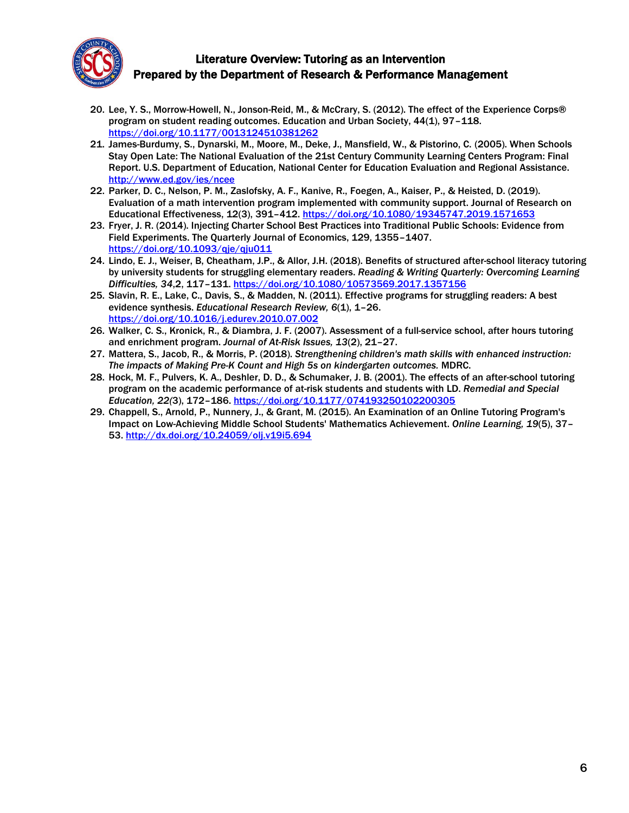

- 20. Lee, Y. S., Morrow-Howell, N., Jonson-Reid, M., & McCrary, S. (2012). The effect of the Experience Corps® program on student reading outcomes. Education and Urban Society, 44(1), 97–118. <https://doi.org/10.1177/0013124510381262>
- 21. James-Burdumy, S., Dynarski, M., Moore, M., Deke, J., Mansfield, W., & Pistorino, C. (2005). When Schools Stay Open Late: The National Evaluation of the 21st Century Community Learning Centers Program: Final Report. U.S. Department of Education, National Center for Education Evaluation and Regional Assistance. <http://www.ed.gov/ies/ncee>
- 22. Parker, D. C., Nelson, P. M., Zaslofsky, A. F., Kanive, R., Foegen, A., Kaiser, P., & Heisted, D. (2019). Evaluation of a math intervention program implemented with community support. Journal of Research on Educational Effectiveness, 12(3), 391-412. <https://doi.org/10.1080/19345747.2019.1571653>
- 23. Fryer, J. R. (2014). Injecting Charter School Best Practices into Traditional Public Schools: Evidence from Field Experiments. The Quarterly Journal of Economics, 129, 1355–1407. <https://doi.org/10.1093/qje/qju011>
- 24. Lindo, E. J., Weiser, B, Cheatham, J.P., & Allor, J.H. (2018). Benefits of structured after-school literacy tutoring by university students for struggling elementary readers. *Reading & Writing Quarterly: Overcoming Learning Difficulties, 34*,2, 117–131. <https://doi.org/10.1080/10573569.2017.1357156>
- 25. Slavin, R. E., Lake, C., Davis, S., & Madden, N. (2011). Effective programs for struggling readers: A best evidence synthesis. *Educational Research Review, 6*(1), 1–26. <https://doi.org/10.1016/j.edurev.2010.07.002>
- 26. Walker, C. S., Kronick, R., & Diambra, J. F. (2007). Assessment of a full-service school, after hours tutoring and enrichment program. *Journal of At-Risk Issues, 13*(2), 21–27.
- 27. Mattera, S., Jacob, R., & Morris, P. (2018). *Strengthening children's math skills with enhanced instruction: The impacts of Making Pre-K Count and High 5s on kindergarten outcomes.* MDRC.
- 28. Hock, M. F., Pulvers, K. A., Deshler, D. D., & Schumaker, J. B. (2001). The effects of an after-school tutoring program on the academic performance of at-risk students and students with LD. *Remedial and Special Education, 22(*3), 172–186. <https://doi.org/10.1177/074193250102200305>
- 29. Chappell, S., Arnold, P., Nunnery, J., & Grant, M. (2015). An Examination of an Online Tutoring Program's Impact on Low-Achieving Middle School Students' Mathematics Achievement. *Online Learning, 19*(5), 37– 53. <http://dx.doi.org/10.24059/olj.v19i5.694>